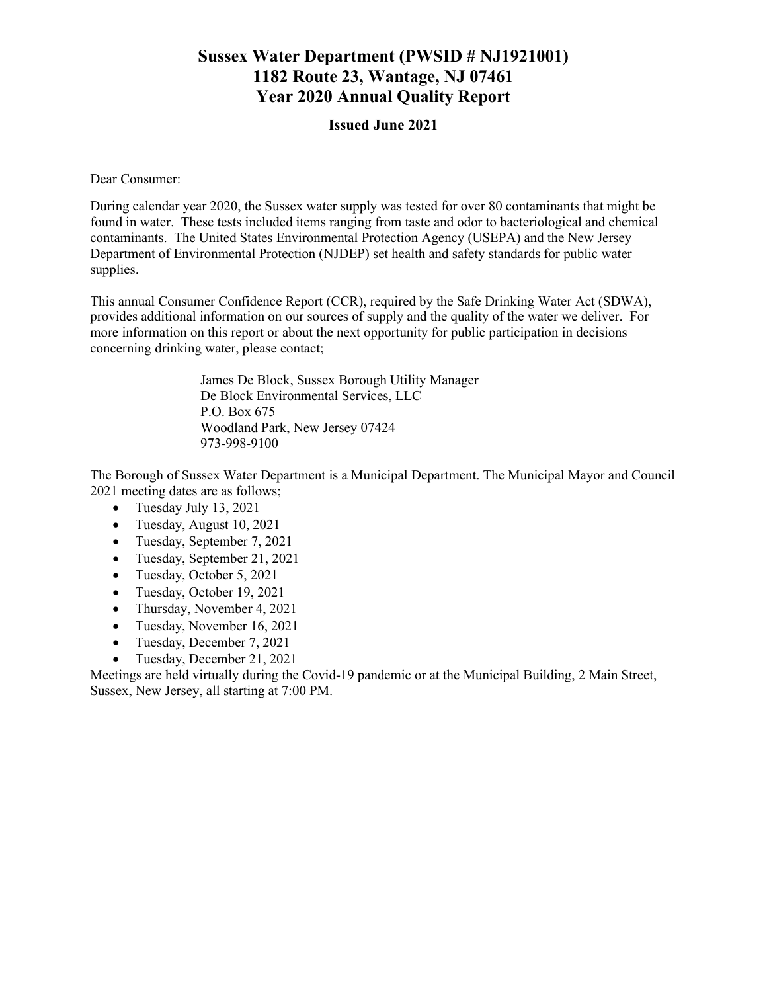# **Sussex Water Department (PWSID # NJ1921001) 1182 Route 23, Wantage, NJ 07461 Year 2020 Annual Quality Report**

#### **Issued June 2021**

Dear Consumer:

During calendar year 2020, the Sussex water supply was tested for over 80 contaminants that might be found in water. These tests included items ranging from taste and odor to bacteriological and chemical contaminants. The United States Environmental Protection Agency (USEPA) and the New Jersey Department of Environmental Protection (NJDEP) set health and safety standards for public water supplies.

This annual Consumer Confidence Report (CCR), required by the Safe Drinking Water Act (SDWA), provides additional information on our sources of supply and the quality of the water we deliver. For more information on this report or about the next opportunity for public participation in decisions concerning drinking water, please contact;

> James De Block, Sussex Borough Utility Manager De Block Environmental Services, LLC P.O. Box 675 Woodland Park, New Jersey 07424 973-998-9100

The Borough of Sussex Water Department is a Municipal Department. The Municipal Mayor and Council 2021 meeting dates are as follows;

- Tuesday July 13, 2021
- Tuesday, August 10, 2021
- Tuesday, September 7, 2021
- Tuesday, September 21, 2021
- Tuesday, October 5, 2021
- Tuesday, October 19, 2021
- Thursday, November 4, 2021
- Tuesday, November 16, 2021
- Tuesday, December 7, 2021
- Tuesday, December 21, 2021

Meetings are held virtually during the Covid-19 pandemic or at the Municipal Building, 2 Main Street, Sussex, New Jersey, all starting at 7:00 PM.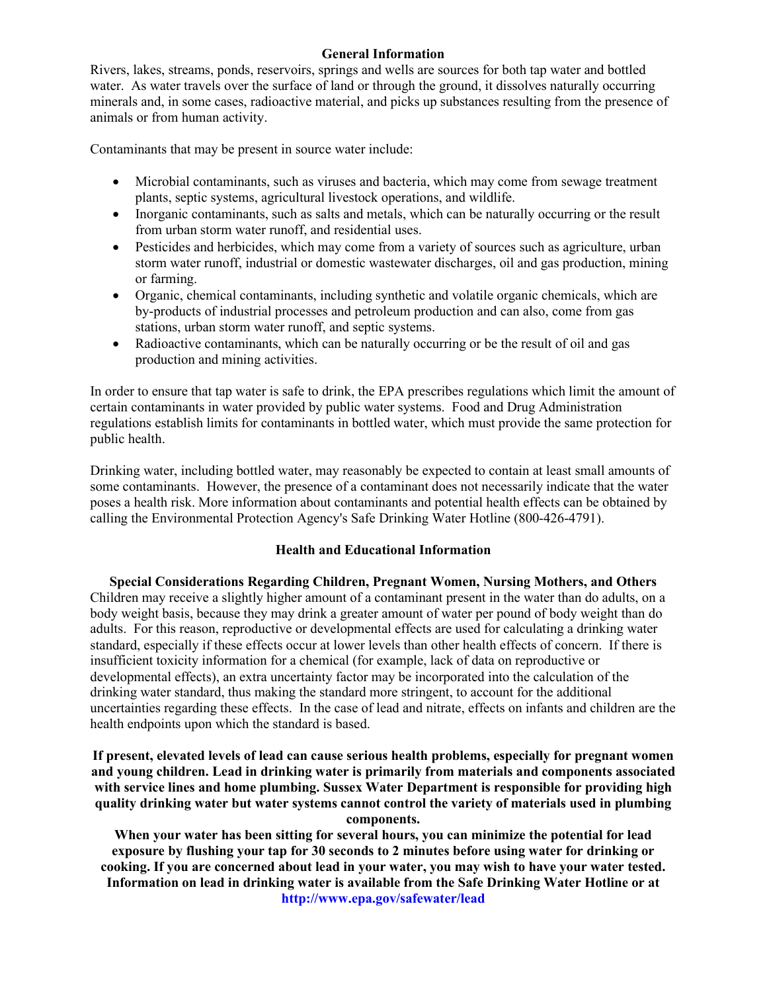#### **General Information**

Rivers, lakes, streams, ponds, reservoirs, springs and wells are sources for both tap water and bottled water. As water travels over the surface of land or through the ground, it dissolves naturally occurring minerals and, in some cases, radioactive material, and picks up substances resulting from the presence of animals or from human activity.

Contaminants that may be present in source water include:

- Microbial contaminants, such as viruses and bacteria, which may come from sewage treatment plants, septic systems, agricultural livestock operations, and wildlife.
- Inorganic contaminants, such as salts and metals, which can be naturally occurring or the result from urban storm water runoff, and residential uses.
- Pesticides and herbicides, which may come from a variety of sources such as agriculture, urban storm water runoff, industrial or domestic wastewater discharges, oil and gas production, mining or farming.
- Organic, chemical contaminants, including synthetic and volatile organic chemicals, which are by-products of industrial processes and petroleum production and can also, come from gas stations, urban storm water runoff, and septic systems.
- Radioactive contaminants, which can be naturally occurring or be the result of oil and gas production and mining activities.

In order to ensure that tap water is safe to drink, the EPA prescribes regulations which limit the amount of certain contaminants in water provided by public water systems. Food and Drug Administration regulations establish limits for contaminants in bottled water, which must provide the same protection for public health.

Drinking water, including bottled water, may reasonably be expected to contain at least small amounts of some contaminants. However, the presence of a contaminant does not necessarily indicate that the water poses a health risk. More information about contaminants and potential health effects can be obtained by calling the Environmental Protection Agency's Safe Drinking Water Hotline (800-426-4791).

#### **Health and Educational Information**

**Special Considerations Regarding Children, Pregnant Women, Nursing Mothers, and Others** Children may receive a slightly higher amount of a contaminant present in the water than do adults, on a body weight basis, because they may drink a greater amount of water per pound of body weight than do adults. For this reason, reproductive or developmental effects are used for calculating a drinking water standard, especially if these effects occur at lower levels than other health effects of concern. If there is insufficient toxicity information for a chemical (for example, lack of data on reproductive or developmental effects), an extra uncertainty factor may be incorporated into the calculation of the drinking water standard, thus making the standard more stringent, to account for the additional uncertainties regarding these effects. In the case of lead and nitrate, effects on infants and children are the health endpoints upon which the standard is based.

**If present, elevated levels of lead can cause serious health problems, especially for pregnant women and young children. Lead in drinking water is primarily from materials and components associated with service lines and home plumbing. Sussex Water Department is responsible for providing high quality drinking water but water systems cannot control the variety of materials used in plumbing components.**

**When your water has been sitting for several hours, you can minimize the potential for lead exposure by flushing your tap for 30 seconds to 2 minutes before using water for drinking or cooking. If you are concerned about lead in your water, you may wish to have your water tested. Information on lead in drinking water is available from the Safe Drinking Water Hotline or at http://www.epa.gov/safewater/lead**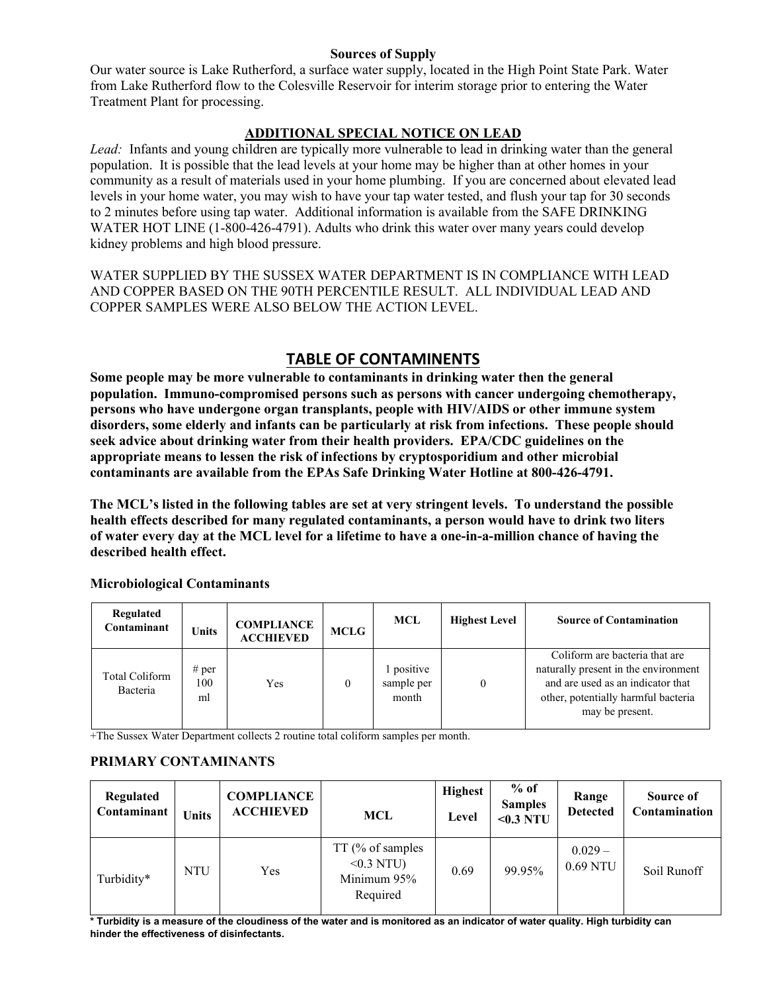#### **Sources of Supply**

Our water source is Lake Rutherford, a surface water supply, located in the High Point State Park. Water from Lake Rutherford flow to the Colesville Reservoir for interim storage prior to entering the Water Treatment Plant for processing.

#### **ADDITIONAL SPECIAL NOTICE ON LEAD**

*Lead:* Infants and young children are typically more vulnerable to lead in drinking water than the general population. It is possible that the lead levels at your home may be higher than at other homes in your community as a result of materials used in your home plumbing. If you are concerned about elevated lead levels in your home water, you may wish to have your tap water tested, and flush your tap for 30 seconds to 2 minutes before using tap water. Additional information is available from the SAFE DRINKING WATER HOT LINE (1-800-426-4791). Adults who drink this water over many years could develop kidney problems and high blood pressure.

WATER SUPPLIED BY THE SUSSEX WATER DEPARTMENT IS IN COMPLIANCE WITH LEAD AND COPPER BASED ON THE 90TH PERCENTILE RESULT. ALL INDIVIDUAL LEAD AND COPPER SAMPLES WERE ALSO BELOW THE ACTION LEVEL.

## **TABLE OF CONTAMINENTS**

**Some people may be more vulnerable to contaminants in drinking water then the general population. Immuno-compromised persons such as persons with cancer undergoing chemotherapy, persons who have undergone organ transplants, people with HIV/AIDS or other immune system disorders, some elderly and infants can be particularly at risk from infections. These people should seek advice about drinking water from their health providers. EPA/CDC guidelines on the appropriate means to lessen the risk of infections by cryptosporidium and other microbial contaminants are available from the EPAs Safe Drinking Water Hotline at 800-426-4791.**

**The MCL's listed in the following tables are set at very stringent levels. To understand the possible health effects described for many regulated contaminants, a person would have to drink two liters of water every day at the MCL level for a lifetime to have a one-in-a-million chance of having the described health effect.**

| Regulated<br>Contaminant          | Units              | <b>COMPLIANCE</b><br><b>ACCHIEVED</b> | <b>MCLG</b> | MCL                             | <b>Highest Level</b> | <b>Source of Contamination</b>                                                                                                                                        |
|-----------------------------------|--------------------|---------------------------------------|-------------|---------------------------------|----------------------|-----------------------------------------------------------------------------------------------------------------------------------------------------------------------|
| <b>Total Coliform</b><br>Bacteria | # per<br>100<br>ml | Yes                                   |             | positive<br>sample per<br>month |                      | Coliform are bacteria that are<br>naturally present in the environment<br>and are used as an indicator that<br>other, potentially harmful bacteria<br>may be present. |

#### **Microbiological Contaminants**

+The Sussex Water Department collects 2 routine total coliform samples per month.

#### **PRIMARY CONTAMINANTS**

| Regulated<br>Contaminant | <b>Units</b> | <b>COMPLIANCE</b><br><b>ACCHIEVED</b> | MCL                                                           | <b>Highest</b><br>Level | $%$ of<br><b>Samples</b><br>$0.3$ NTU | Range<br><b>Detected</b> | Source of<br>Contamination |
|--------------------------|--------------|---------------------------------------|---------------------------------------------------------------|-------------------------|---------------------------------------|--------------------------|----------------------------|
| Turbidity*               | <b>NTU</b>   | Yes                                   | $TT$ (% of samples<br>$< 0.3$ NTU)<br>Minimum 95%<br>Required | 0.69                    | 99.95%                                | $0.029 -$<br>0.69 NTU    | Soil Runoff                |

**\* Turbidity is a measure of the cloudiness of the water and is monitored as an indicator of water quality. High turbidity can hinder the effectiveness of disinfectants.**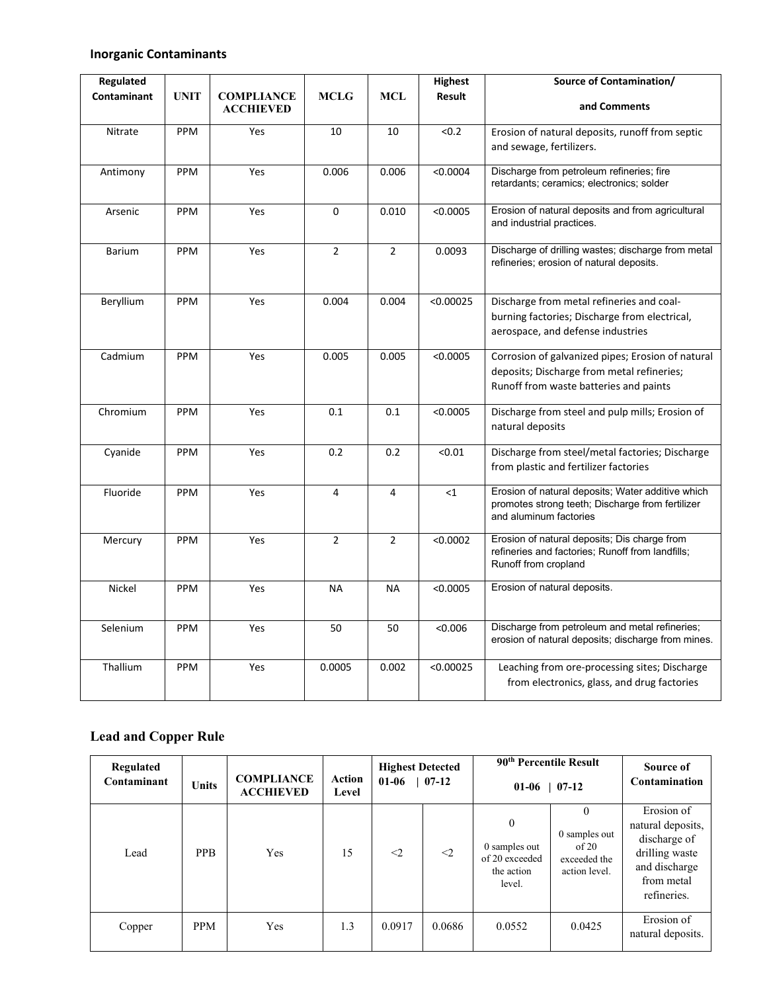#### **Inorganic Contaminants**

| <b>Regulated</b> |             |                                       |                |                | <b>Highest</b>      | Source of Contamination/                                                                                                                  |
|------------------|-------------|---------------------------------------|----------------|----------------|---------------------|-------------------------------------------------------------------------------------------------------------------------------------------|
| Contaminant      | <b>UNIT</b> | <b>COMPLIANCE</b><br><b>ACCHIEVED</b> | <b>MCLG</b>    | <b>MCL</b>     | Result              | and Comments                                                                                                                              |
| Nitrate          | PPM         | Yes                                   | 10             | 10             | < 0.2               | Erosion of natural deposits, runoff from septic<br>and sewage, fertilizers.                                                               |
| Antimony         | PPM         | Yes                                   | 0.006          | 0.006          | < 0.0004            | Discharge from petroleum refineries; fire<br>retardants; ceramics; electronics; solder                                                    |
| Arsenic          | PPM         | Yes                                   | 0              | 0.010          | < 0.0005            | Erosion of natural deposits and from agricultural<br>and industrial practices.                                                            |
| <b>Barium</b>    | PPM         | Yes                                   | $\overline{2}$ | $\overline{2}$ | 0.0093              | Discharge of drilling wastes; discharge from metal<br>refineries; erosion of natural deposits.                                            |
| Beryllium        | PPM         | Yes                                   | 0.004          | 0.004          | < 0.00025           | Discharge from metal refineries and coal-<br>burning factories; Discharge from electrical,<br>aerospace, and defense industries           |
| Cadmium          | PPM         | Yes                                   | 0.005          | 0.005          | $\overline{0.0005}$ | Corrosion of galvanized pipes; Erosion of natural<br>deposits; Discharge from metal refineries;<br>Runoff from waste batteries and paints |
| Chromium         | PPM         | Yes                                   | 0.1            | 0.1            | < 0.0005            | Discharge from steel and pulp mills; Erosion of<br>natural deposits                                                                       |
| Cyanide          | PPM         | Yes                                   | 0.2            | 0.2            | < 0.01              | Discharge from steel/metal factories; Discharge<br>from plastic and fertilizer factories                                                  |
| Fluoride         | PPM         | Yes                                   | 4              | 4              | <1                  | Erosion of natural deposits; Water additive which<br>promotes strong teeth; Discharge from fertilizer<br>and aluminum factories           |
| Mercury          | PPM         | Yes                                   | $\overline{2}$ | $\overline{2}$ | < 0.0002            | Erosion of natural deposits; Dis charge from<br>refineries and factories; Runoff from landfills;<br>Runoff from cropland                  |
| Nickel           | PPM         | Yes                                   | <b>NA</b>      | <b>NA</b>      | < 0.0005            | Erosion of natural deposits.                                                                                                              |
| Selenium         | PPM         | Yes                                   | 50             | 50             | < 0.006             | Discharge from petroleum and metal refineries;<br>erosion of natural deposits; discharge from mines.                                      |
| Thallium         | PPM         | Yes                                   | 0.0005         | 0.002          | < 0.00025           | Leaching from ore-processing sites; Discharge<br>from electronics, glass, and drug factories                                              |

# **Lead and Copper Rule**

| Regulated<br>Contaminant | <b>Units</b> | <b>COMPLIANCE</b><br><b>ACCHIEVED</b> | Action<br>Level | <b>Highest Detected</b><br>$01-06$ | $07-12$  | 90 <sup>th</sup> Percentile Result<br>01-06                             | $07-12$                                                             | Source of<br>Contamination                                                                                      |
|--------------------------|--------------|---------------------------------------|-----------------|------------------------------------|----------|-------------------------------------------------------------------------|---------------------------------------------------------------------|-----------------------------------------------------------------------------------------------------------------|
| Lead                     | <b>PPB</b>   | Yes                                   | 15              | $\leq$ 2                           | $\leq$ 2 | $\mathbf{0}$<br>0 samples out<br>of 20 exceeded<br>the action<br>level. | $\theta$<br>0 samples out<br>of 20<br>exceeded the<br>action level. | Erosion of<br>natural deposits,<br>discharge of<br>drilling waste<br>and discharge<br>from metal<br>refineries. |
| Copper                   | <b>PPM</b>   | Yes                                   | 1.3             | 0.0917                             | 0.0686   | 0.0552                                                                  | 0.0425                                                              | Erosion of<br>natural deposits.                                                                                 |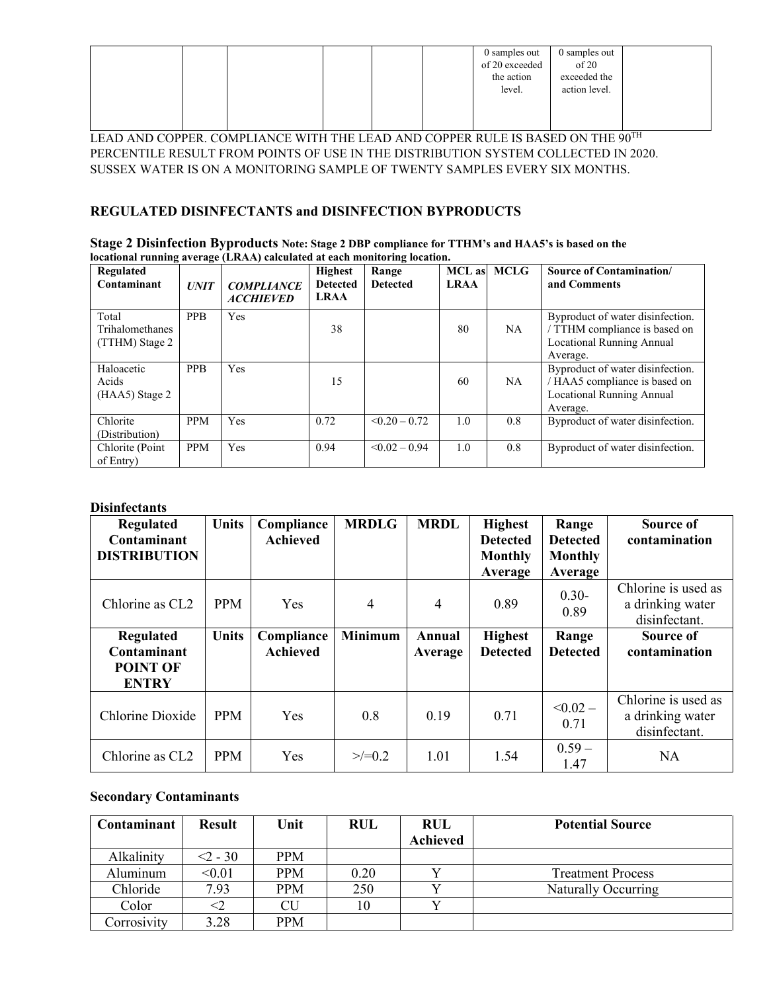|  |  |  | 0 samples out<br>of 20 exceeded<br>the action<br>level. | 0 samples out<br>of 20<br>exceeded the<br>action level. |  |
|--|--|--|---------------------------------------------------------|---------------------------------------------------------|--|
|  |  |  |                                                         |                                                         |  |

LEAD AND COPPER. COMPLIANCE WITH THE LEAD AND COPPER RULE IS BASED ON THE 90TH PERCENTILE RESULT FROM POINTS OF USE IN THE DISTRIBUTION SYSTEM COLLECTED IN 2020. SUSSEX WATER IS ON A MONITORING SAMPLE OF TWENTY SAMPLES EVERY SIX MONTHS.

#### **REGULATED DISINFECTANTS and DISINFECTION BYPRODUCTS**

| Stage 2 Disinfection Byproducts Note: Stage 2 DBP compliance for TTHM's and HAA5's is based on the |
|----------------------------------------------------------------------------------------------------|
| locational running average (LRAA) calculated at each monitoring location.                          |

| $\overline{\phantom{a}}$<br>Regulated<br>Contaminant | <b>. ت</b><br><b>UNIT</b> | <b>COMPLIANCE</b><br><b>ACCHIEVED</b> | <b>Highest</b><br><b>Detected</b><br><b>LRAA</b> | Range<br><b>Detected</b> | MCL as MCLG<br><b>LRAA</b> |     | <b>Source of Contamination/</b><br>and Comments                                                                 |
|------------------------------------------------------|---------------------------|---------------------------------------|--------------------------------------------------|--------------------------|----------------------------|-----|-----------------------------------------------------------------------------------------------------------------|
| Total<br>Trihalomethanes<br>(TTHM) Stage 2           | <b>PPB</b>                | Yes                                   | 38                                               |                          | 80                         | NA  | Byproduct of water disinfection.<br>/ TTHM compliance is based on<br>Locational Running Annual<br>Average.      |
| Haloacetic<br>Acids<br>(HAA5) Stage 2                | <b>PPB</b>                | Yes                                   | 15                                               |                          | 60                         | NA. | Byproduct of water disinfection.<br>HAA5 compliance is based on<br><b>Locational Running Annual</b><br>Average. |
| Chlorite<br>(Distribution)                           | <b>PPM</b>                | Yes                                   | 0.72                                             | $\leq 0.20 - 0.72$       | 1.0                        | 0.8 | Byproduct of water disinfection.                                                                                |
| Chlorite (Point)<br>of Entry)                        | <b>PPM</b>                | Yes                                   | 0.94                                             | $\leq 0.02 - 0.94$       | 1.0                        | 0.8 | Byproduct of water disinfection.                                                                                |

#### **Disinfectants**

| Regulated<br>Contaminant                             | <b>Units</b> | Compliance<br><b>Achieved</b> | <b>MRDLG</b>   | <b>MRDL</b>       | <b>Highest</b><br><b>Detected</b> | Range<br><b>Detected</b>  | Source of<br>contamination                               |
|------------------------------------------------------|--------------|-------------------------------|----------------|-------------------|-----------------------------------|---------------------------|----------------------------------------------------------|
| <b>DISTRIBUTION</b>                                  |              |                               |                |                   | <b>Monthly</b><br>Average         | <b>Monthly</b><br>Average |                                                          |
| Chlorine as CL <sub>2</sub>                          | <b>PPM</b>   | Yes                           | $\overline{4}$ | 4                 | 0.89                              | $0.30 -$<br>0.89          | Chlorine is used as<br>a drinking water<br>disinfectant. |
| Regulated<br>Contaminant<br>POINT OF<br><b>ENTRY</b> | <b>Units</b> | Compliance<br><b>Achieved</b> | <b>Minimum</b> | Annual<br>Average | <b>Highest</b><br><b>Detected</b> | Range<br><b>Detected</b>  | Source of<br>contamination                               |
| Chlorine Dioxide                                     | <b>PPM</b>   | <b>Yes</b>                    | 0.8            | 0.19              | 0.71                              | $< 0.02 -$<br>0.71        | Chlorine is used as<br>a drinking water<br>disinfectant. |
| Chlorine as CL <sub>2</sub>                          | <b>PPM</b>   | Yes                           | $>>=0.2$       | 1.01              | 1.54                              | $0.59 -$<br>1.47          | <b>NA</b>                                                |

#### **Secondary Contaminants**

| Contaminant | <b>Result</b> | Unit       | <b>RUL</b> | <b>RUL</b><br><b>Achieved</b> | <b>Potential Source</b>  |
|-------------|---------------|------------|------------|-------------------------------|--------------------------|
|             |               |            |            |                               |                          |
| Alkalinity  | $<$ 2 - 30    | <b>PPM</b> |            |                               |                          |
| Aluminum    | < 0.01        | <b>PPM</b> | 0.20       |                               | <b>Treatment Process</b> |
| Chloride    | 7.93          | <b>PPM</b> | 250        |                               | Naturally Occurring      |
| Color       |               | CU         | 10         |                               |                          |
| Corrosivity | 3.28          | <b>PPM</b> |            |                               |                          |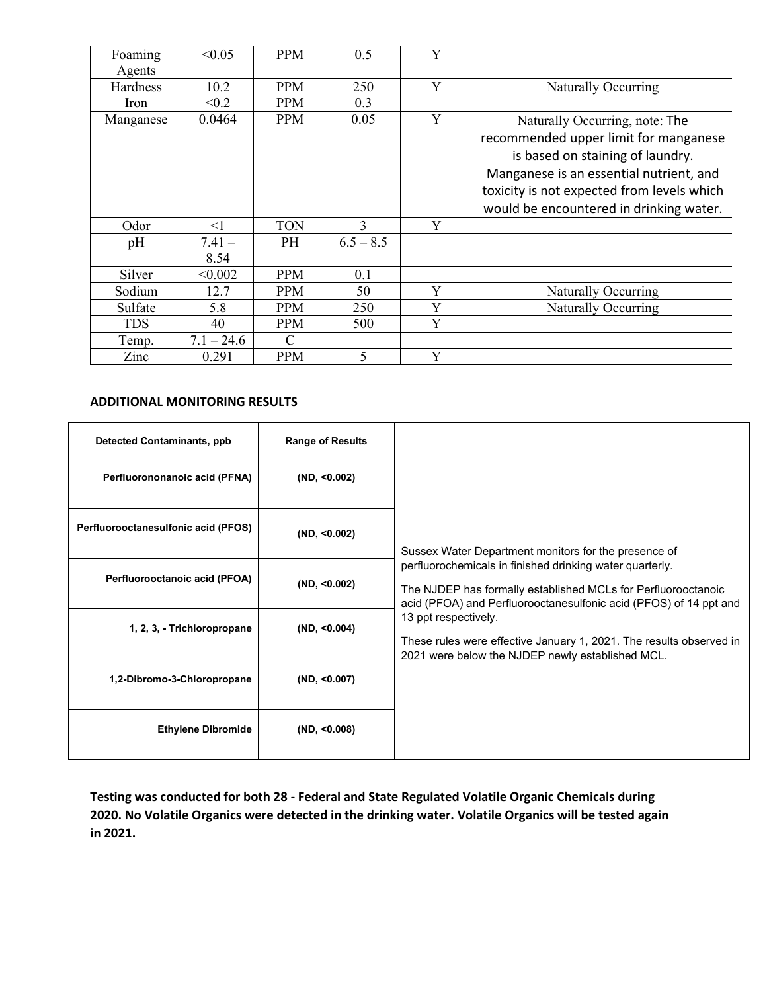| Foaming<br>Agents | < 0.05           | <b>PPM</b> | 0.5         | Y |                                                                                                                                                                                                                                                 |
|-------------------|------------------|------------|-------------|---|-------------------------------------------------------------------------------------------------------------------------------------------------------------------------------------------------------------------------------------------------|
| Hardness          | 10.2             | <b>PPM</b> | 250         | Y | Naturally Occurring                                                                                                                                                                                                                             |
| Iron              | < 0.2            | <b>PPM</b> | 0.3         |   |                                                                                                                                                                                                                                                 |
| Manganese         | 0.0464           | <b>PPM</b> | 0.05        | Y | Naturally Occurring, note: The<br>recommended upper limit for manganese<br>is based on staining of laundry.<br>Manganese is an essential nutrient, and<br>toxicity is not expected from levels which<br>would be encountered in drinking water. |
| Odor              | $\leq$ 1         | <b>TON</b> | 3           | Y |                                                                                                                                                                                                                                                 |
| pH                | $7.41 -$<br>8.54 | <b>PH</b>  | $6.5 - 8.5$ |   |                                                                                                                                                                                                                                                 |
| Silver            | < 0.002          | <b>PPM</b> | 0.1         |   |                                                                                                                                                                                                                                                 |
| Sodium            | 12.7             | PPM        | 50          | Y | Naturally Occurring                                                                                                                                                                                                                             |
| Sulfate           | 5.8              | PPM        | 250         | Y | <b>Naturally Occurring</b>                                                                                                                                                                                                                      |
| <b>TDS</b>        | 40               | PPM        | 500         | Y |                                                                                                                                                                                                                                                 |
| Temp.             | $7.1 - 24.6$     | C          |             |   |                                                                                                                                                                                                                                                 |
| Zinc              | 0.291            | PPM        | 5           | Y |                                                                                                                                                                                                                                                 |

#### **ADDITIONAL MONITORING RESULTS**

| <b>Detected Contaminants, ppb</b>   | <b>Range of Results</b> |                                                                                                                                                                                                |  |  |
|-------------------------------------|-------------------------|------------------------------------------------------------------------------------------------------------------------------------------------------------------------------------------------|--|--|
| Perfluorononanoic acid (PFNA)       | (ND, <0.002)            |                                                                                                                                                                                                |  |  |
| Perfluorooctanesulfonic acid (PFOS) | (ND, <0.002)            | Sussex Water Department monitors for the presence of                                                                                                                                           |  |  |
| Perfluorooctanoic acid (PFOA)       | (ND, <0.002)            | perfluorochemicals in finished drinking water quarterly.<br>The NJDEP has formally established MCLs for Perfluorooctanoic<br>acid (PFOA) and Perfluorooctanesulfonic acid (PFOS) of 14 ppt and |  |  |
| 1, 2, 3, - Trichloropropane         | (ND, <0.004)            | 13 ppt respectively.<br>These rules were effective January 1, 2021. The results observed in<br>2021 were below the NJDEP newly established MCL.                                                |  |  |
| 1,2-Dibromo-3-Chloropropane         | (ND, <0.007)            |                                                                                                                                                                                                |  |  |
| <b>Ethylene Dibromide</b>           | (ND, <0.008)            |                                                                                                                                                                                                |  |  |

**Testing was conducted for both 28 - Federal and State Regulated Volatile Organic Chemicals during 2020. No Volatile Organics were detected in the drinking water. Volatile Organics will be tested again in 2021.**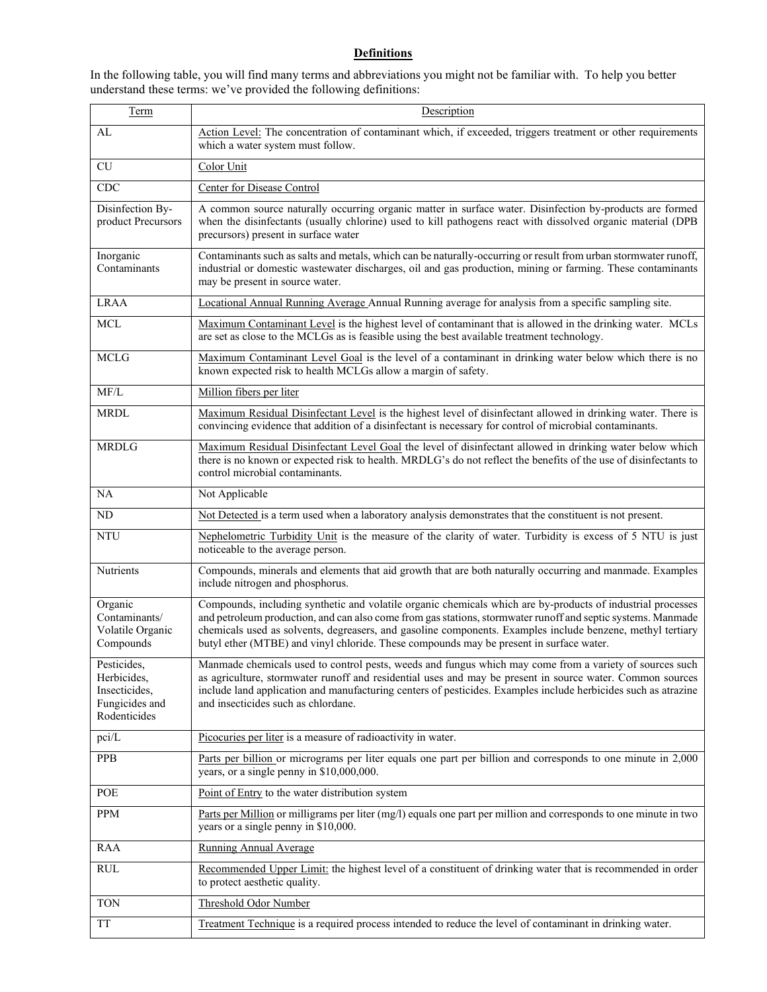## **Definitions**

| In the following table, you will find many terms and abbreviations you might not be familiar with. To help you better |  |
|-----------------------------------------------------------------------------------------------------------------------|--|
| understand these terms: we've provided the following definitions:                                                     |  |

| Term                                                                          | Description                                                                                                                                                                                                                                                                                                                                                                                                                          |  |  |  |  |
|-------------------------------------------------------------------------------|--------------------------------------------------------------------------------------------------------------------------------------------------------------------------------------------------------------------------------------------------------------------------------------------------------------------------------------------------------------------------------------------------------------------------------------|--|--|--|--|
| AL                                                                            | Action Level: The concentration of contaminant which, if exceeded, triggers treatment or other requirements<br>which a water system must follow.                                                                                                                                                                                                                                                                                     |  |  |  |  |
| CU                                                                            | Color Unit                                                                                                                                                                                                                                                                                                                                                                                                                           |  |  |  |  |
| CDC                                                                           | Center for Disease Control                                                                                                                                                                                                                                                                                                                                                                                                           |  |  |  |  |
| Disinfection By-<br>product Precursors                                        | A common source naturally occurring organic matter in surface water. Disinfection by-products are formed<br>when the disinfectants (usually chlorine) used to kill pathogens react with dissolved organic material (DPB<br>precursors) present in surface water                                                                                                                                                                      |  |  |  |  |
| Inorganic<br>Contaminants                                                     | Contaminants such as salts and metals, which can be naturally-occurring or result from urban stormwater runoff,<br>industrial or domestic wastewater discharges, oil and gas production, mining or farming. These contaminants<br>may be present in source water.                                                                                                                                                                    |  |  |  |  |
| <b>LRAA</b>                                                                   | Locational Annual Running Average Annual Running average for analysis from a specific sampling site.                                                                                                                                                                                                                                                                                                                                 |  |  |  |  |
| <b>MCL</b>                                                                    | Maximum Contaminant Level is the highest level of contaminant that is allowed in the drinking water. MCLs<br>are set as close to the MCLGs as is feasible using the best available treatment technology.                                                                                                                                                                                                                             |  |  |  |  |
| <b>MCLG</b>                                                                   | Maximum Contaminant Level Goal is the level of a contaminant in drinking water below which there is no<br>known expected risk to health MCLGs allow a margin of safety.                                                                                                                                                                                                                                                              |  |  |  |  |
| MF/L                                                                          | Million fibers per liter                                                                                                                                                                                                                                                                                                                                                                                                             |  |  |  |  |
| <b>MRDL</b>                                                                   | Maximum Residual Disinfectant Level is the highest level of disinfectant allowed in drinking water. There is<br>convincing evidence that addition of a disinfectant is necessary for control of microbial contaminants.                                                                                                                                                                                                              |  |  |  |  |
| <b>MRDLG</b>                                                                  | Maximum Residual Disinfectant Level Goal the level of disinfectant allowed in drinking water below which<br>there is no known or expected risk to health. MRDLG's do not reflect the benefits of the use of disinfectants to<br>control microbial contaminants.                                                                                                                                                                      |  |  |  |  |
| NA                                                                            | Not Applicable                                                                                                                                                                                                                                                                                                                                                                                                                       |  |  |  |  |
| ND                                                                            | Not Detected is a term used when a laboratory analysis demonstrates that the constituent is not present.                                                                                                                                                                                                                                                                                                                             |  |  |  |  |
| <b>NTU</b>                                                                    | Nephelometric Turbidity Unit is the measure of the clarity of water. Turbidity is excess of 5 NTU is just<br>noticeable to the average person.                                                                                                                                                                                                                                                                                       |  |  |  |  |
| Nutrients                                                                     | Compounds, minerals and elements that aid growth that are both naturally occurring and manmade. Examples<br>include nitrogen and phosphorus.                                                                                                                                                                                                                                                                                         |  |  |  |  |
| Organic<br>Contaminants/<br>Volatile Organic<br>Compounds                     | Compounds, including synthetic and volatile organic chemicals which are by-products of industrial processes<br>and petroleum production, and can also come from gas stations, stormwater runoff and septic systems. Manmade<br>chemicals used as solvents, degreasers, and gasoline components. Examples include benzene, methyl tertiary<br>butyl ether (MTBE) and vinyl chloride. These compounds may be present in surface water. |  |  |  |  |
| Pesticides,<br>Herbicides,<br>Insecticides,<br>Fungicides and<br>Rodenticides | Manmade chemicals used to control pests, weeds and fungus which may come from a variety of sources such<br>as agriculture, stormwater runoff and residential uses and may be present in source water. Common sources<br>include land application and manufacturing centers of pesticides. Examples include herbicides such as atrazine<br>and insecticides such as chlordane.                                                        |  |  |  |  |
| pci/L                                                                         | Picocuries per liter is a measure of radioactivity in water.                                                                                                                                                                                                                                                                                                                                                                         |  |  |  |  |
| PPB                                                                           | Parts per billion or micrograms per liter equals one part per billion and corresponds to one minute in 2,000<br>years, or a single penny in \$10,000,000.                                                                                                                                                                                                                                                                            |  |  |  |  |
| POE                                                                           | Point of Entry to the water distribution system                                                                                                                                                                                                                                                                                                                                                                                      |  |  |  |  |
| PPM                                                                           | Parts per Million or milligrams per liter (mg/l) equals one part per million and corresponds to one minute in two<br>years or a single penny in \$10,000.                                                                                                                                                                                                                                                                            |  |  |  |  |
| RAA                                                                           | <b>Running Annual Average</b>                                                                                                                                                                                                                                                                                                                                                                                                        |  |  |  |  |
| $\mathop{\rm RUL}$                                                            | Recommended Upper Limit: the highest level of a constituent of drinking water that is recommended in order<br>to protect aesthetic quality.                                                                                                                                                                                                                                                                                          |  |  |  |  |
| <b>TON</b>                                                                    | Threshold Odor Number                                                                                                                                                                                                                                                                                                                                                                                                                |  |  |  |  |
| <b>TT</b>                                                                     | Treatment Technique is a required process intended to reduce the level of contaminant in drinking water.                                                                                                                                                                                                                                                                                                                             |  |  |  |  |